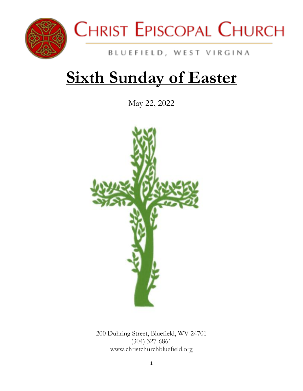



#### BLUEFIELD, WEST VIRGINA

# **Sixth Sunday of Easter**

May 22, 2022



200 Duhring Street, Bluefield, WV 24701 (304) 327-6861 www.christchurchbluefield.org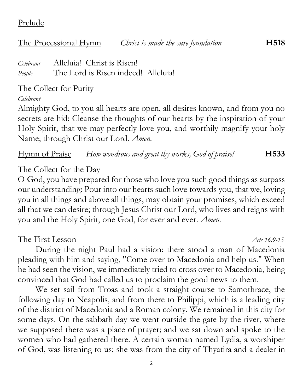#### Prelude

#### The Processional Hymn*Christ is made the sure foundation* **H518**

# *Celebrant* Alleluia! Christ is Risen! *People* The Lord is Risen indeed! Alleluia!

#### The Collect for Purity

#### *Celebrant*

Almighty God, to you all hearts are open, all desires known, and from you no secrets are hid: Cleanse the thoughts of our hearts by the inspiration of your Holy Spirit, that we may perfectly love you, and worthily magnify your holy Name; through Christ our Lord. *Amen.*

# Hymn of Praise *How wondrous and great thy works, God of praise!* **H533**

# The Collect for the Day

O God, you have prepared for those who love you such good things as surpass our understanding: Pour into our hearts such love towards you, that we, loving you in all things and above all things, may obtain your promises, which exceed all that we can desire; through Jesus Christ our Lord, who lives and reigns with you and the Holy Spirit, one God, for ever and ever. *Amen.*

#### The First Lesson *Acts 16:9-15*

# During the night Paul had a vision: there stood a man of Macedonia pleading with him and saying, "Come over to Macedonia and help us." When he had seen the vision, we immediately tried to cross over to Macedonia, being convinced that God had called us to proclaim the good news to them.

We set sail from Troas and took a straight course to Samothrace, the following day to Neapolis, and from there to Philippi, which is a leading city of the district of Macedonia and a Roman colony. We remained in this city for some days. On the sabbath day we went outside the gate by the river, where we supposed there was a place of prayer; and we sat down and spoke to the women who had gathered there. A certain woman named Lydia, a worshiper of God, was listening to us; she was from the city of Thyatira and a dealer in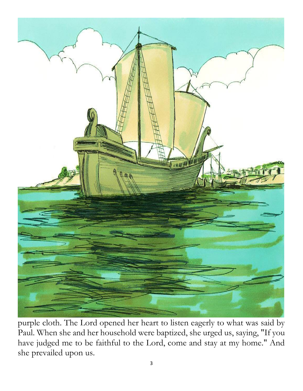

purple cloth. The Lord opened her heart to listen eagerly to what was said by Paul. When she and her household were baptized, she urged us, saying, "If you have judged me to be faithful to the Lord, come and stay at my home." And she prevailed upon us.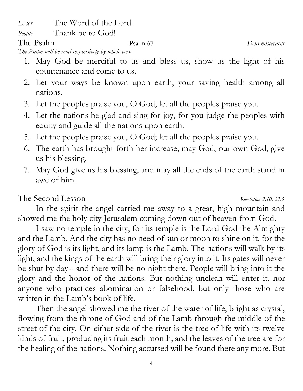*Lector* The Word of the Lord.

*People* Thank be to God!

#### The Psalm **Psalm 67** *Deus misereatur Deus misereatur*

*The Psalm will be read responsively by whole verse*

- 1. May God be merciful to us and bless us, show us the light of his countenance and come to us.
- 2. Let your ways be known upon earth, your saving health among all nations.
- 3. Let the peoples praise you, O God; let all the peoples praise you.
- 4. Let the nations be glad and sing for joy, for you judge the peoples with equity and guide all the nations upon earth.
- 5. Let the peoples praise you, O God; let all the peoples praise you.
- 6. The earth has brought forth her increase; may God, our own God, give us his blessing.
- 7. May God give us his blessing, and may all the ends of the earth stand in awe of him.

#### The Second Lesson*Revelation 2:10, 22:5*

In the spirit the angel carried me away to a great, high mountain and showed me the holy city Jerusalem coming down out of heaven from God.

I saw no temple in the city, for its temple is the Lord God the Almighty and the Lamb. And the city has no need of sun or moon to shine on it, for the glory of God is its light, and its lamp is the Lamb. The nations will walk by its light, and the kings of the earth will bring their glory into it. Its gates will never be shut by day-- and there will be no night there. People will bring into it the glory and the honor of the nations. But nothing unclean will enter it, nor anyone who practices abomination or falsehood, but only those who are written in the Lamb's book of life.

Then the angel showed me the river of the water of life, bright as crystal, flowing from the throne of God and of the Lamb through the middle of the street of the city. On either side of the river is the tree of life with its twelve kinds of fruit, producing its fruit each month; and the leaves of the tree are for the healing of the nations. Nothing accursed will be found there any more. But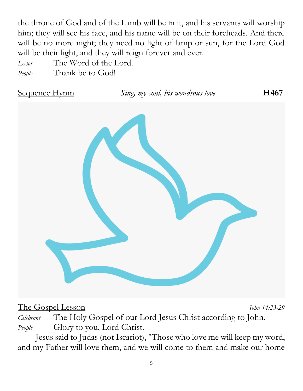the throne of God and of the Lamb will be in it, and his servants will worship him; they will see his face, and his name will be on their foreheads. And there will be no more night; they need no light of lamp or sun, for the Lord God will be their light, and they will reign forever and ever.

*Lector* The Word of the Lord. *People* Thank be to God!

Sequence Hymn *Sing, my soul, his wondrous love* **H467**

# The Gospel Lesson *John 14:23-29*

*Celebrant* The Holy Gospel of our Lord Jesus Christ according to John. *People* Glory to you, Lord Christ.

Jesus said to Judas (not Iscariot), "Those who love me will keep my word, and my Father will love them, and we will come to them and make our home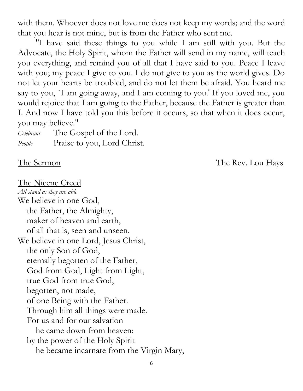with them. Whoever does not love me does not keep my words; and the word that you hear is not mine, but is from the Father who sent me.

"I have said these things to you while I am still with you. But the Advocate, the Holy Spirit, whom the Father will send in my name, will teach you everything, and remind you of all that I have said to you. Peace I leave with you; my peace I give to you. I do not give to you as the world gives. Do not let your hearts be troubled, and do not let them be afraid. You heard me say to you, `I am going away, and I am coming to you.' If you loved me, you would rejoice that I am going to the Father, because the Father is greater than I. And now I have told you this before it occurs, so that when it does occur, you may believe."

*Celebrant* The Gospel of the Lord. People Praise to you, Lord Christ.

The Sermon The Rev. Lou Hays

#### The Nicene Creed

*All stand as they are able*  We believe in one God, the Father, the Almighty, maker of heaven and earth, of all that is, seen and unseen. We believe in one Lord, Jesus Christ, the only Son of God, eternally begotten of the Father, God from God, Light from Light, true God from true God, begotten, not made, of one Being with the Father. Through him all things were made. For us and for our salvation he came down from heaven: by the power of the Holy Spirit he became incarnate from the Virgin Mary,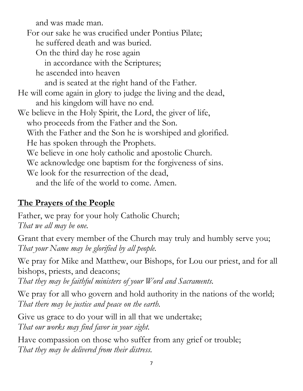and was made man. For our sake he was crucified under Pontius Pilate; he suffered death and was buried. On the third day he rose again in accordance with the Scriptures; he ascended into heaven and is seated at the right hand of the Father. He will come again in glory to judge the living and the dead, and his kingdom will have no end. We believe in the Holy Spirit, the Lord, the giver of life, who proceeds from the Father and the Son. With the Father and the Son he is worshiped and glorified. He has spoken through the Prophets. We believe in one holy catholic and apostolic Church. We acknowledge one baptism for the forgiveness of sins. We look for the resurrection of the dead, and the life of the world to come. Amen.

# **The Prayers of the People**

Father, we pray for your holy Catholic Church; *That we all may be one.*

Grant that every member of the Church may truly and humbly serve you; *That your Name may be glorified by all people.*

We pray for Mike and Matthew, our Bishops, for Lou our priest, and for all bishops, priests, and deacons;

*That they may be faithful ministers of your Word and Sacraments.*

We pray for all who govern and hold authority in the nations of the world; *That there may be justice and peace on the earth.*

Give us grace to do your will in all that we undertake; *That our works may find favor in your sight.*

Have compassion on those who suffer from any grief or trouble; *That they may be delivered from their distress.*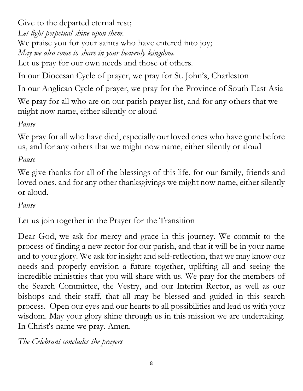Give to the departed eternal rest;

*Let light perpetual shine upon them.*

We praise you for your saints who have entered into joy;

*May we also come to share in your heavenly kingdom.*

Let us pray for our own needs and those of others.

In our Diocesan Cycle of prayer, we pray for St. John's, Charleston

In our Anglican Cycle of prayer, we pray for the Province of South East Asia

We pray for all who are on our parish prayer list, and for any others that we might now name, either silently or aloud

# *Pause*

We pray for all who have died, especially our loved ones who have gone before us, and for any others that we might now name, either silently or aloud

# *Pause*

We give thanks for all of the blessings of this life, for our family, friends and loved ones, and for any other thanksgivings we might now name, either silently or aloud.

# *Pause*

Let us join together in the Prayer for the Transition

Dear God, we ask for mercy and grace in this journey. We commit to the process of finding a new rector for our parish, and that it will be in your name and to your glory. We ask for insight and self-reflection, that we may know our needs and properly envision a future together, uplifting all and seeing the incredible ministries that you will share with us. We pray for the members of the Search Committee, the Vestry, and our Interim Rector, as well as our bishops and their staff, that all may be blessed and guided in this search process. Open our eyes and our hearts to all possibilities and lead us with your wisdom. May your glory shine through us in this mission we are undertaking. In Christ's name we pray. Amen.

*The Celebrant concludes the prayers*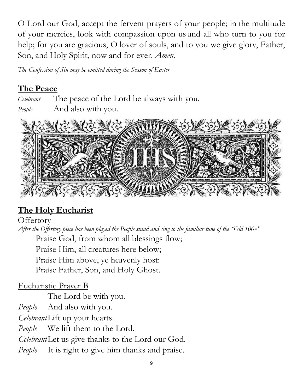O Lord our God, accept the fervent prayers of your people; in the multitude of your mercies, look with compassion upon us and all who turn to you for help; for you are gracious, O lover of souls, and to you we give glory, Father, Son, and Holy Spirit, now and for ever. *Amen.*

*The Confession of Sin may be omitted during the Season of Easter*

# **The Peace**

*Celebrant* The peace of the Lord be always with you. *People* And also with you.



# **The Holy Eucharist**

**Offertory** *After the Offertory piece has been played the People stand and sing to the familiar tune of the "Old 100th"*

Praise God, from whom all blessings flow;

Praise Him, all creatures here below;

Praise Him above, ye heavenly host:

Praise Father, Son, and Holy Ghost.

# Eucharistic Prayer B

The Lord be with you.

*People* And also with you.

*Celebrant*Lift up your hearts.

*People* We lift them to the Lord.

*Celebrant*Let us give thanks to the Lord our God.

*People* It is right to give him thanks and praise.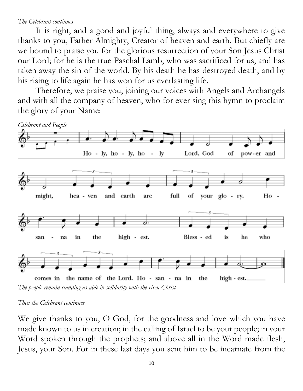#### *The Celebrant continues*

It is right, and a good and joyful thing, always and everywhere to give thanks to you, Father Almighty, Creator of heaven and earth. But chiefly are we bound to praise you for the glorious resurrection of your Son Jesus Christ our Lord; for he is the true Paschal Lamb, who was sacrificed for us, and has taken away the sin of the world. By his death he has destroyed death, and by his rising to life again he has won for us everlasting life.

Therefore, we praise you, joining our voices with Angels and Archangels and with all the company of heaven, who for ever sing this hymn to proclaim the glory of your Name:



#### *Then the Celebrant continues*

We give thanks to you, O God, for the goodness and love which you have made known to us in creation; in the calling of Israel to be your people; in your Word spoken through the prophets; and above all in the Word made flesh, Jesus, your Son. For in these last days you sent him to be incarnate from the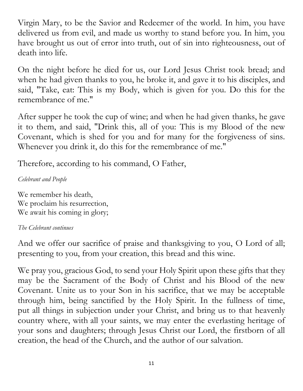Virgin Mary, to be the Savior and Redeemer of the world. In him, you have delivered us from evil, and made us worthy to stand before you. In him, you have brought us out of error into truth, out of sin into righteousness, out of death into life.

On the night before he died for us, our Lord Jesus Christ took bread; and when he had given thanks to you, he broke it, and gave it to his disciples, and said, "Take, eat: This is my Body, which is given for you. Do this for the remembrance of me."

After supper he took the cup of wine; and when he had given thanks, he gave it to them, and said, "Drink this, all of you: This is my Blood of the new Covenant, which is shed for you and for many for the forgiveness of sins. Whenever you drink it, do this for the remembrance of me."

Therefore, according to his command, O Father,

#### *Celebrant and People*

We remember his death, We proclaim his resurrection, We await his coming in glory;

#### *The Celebrant continues*

And we offer our sacrifice of praise and thanksgiving to you, O Lord of all; presenting to you, from your creation, this bread and this wine.

We pray you, gracious God, to send your Holy Spirit upon these gifts that they may be the Sacrament of the Body of Christ and his Blood of the new Covenant. Unite us to your Son in his sacrifice, that we may be acceptable through him, being sanctified by the Holy Spirit. In the fullness of time, put all things in subjection under your Christ, and bring us to that heavenly country where, with all your saints, we may enter the everlasting heritage of your sons and daughters; through Jesus Christ our Lord, the firstborn of all creation, the head of the Church, and the author of our salvation.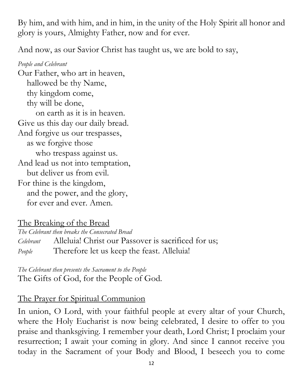By him, and with him, and in him, in the unity of the Holy Spirit all honor and glory is yours, Almighty Father, now and for ever.

And now, as our Savior Christ has taught us, we are bold to say,

#### *People and Celebrant*

Our Father, who art in heaven, hallowed be thy Name, thy kingdom come, thy will be done, on earth as it is in heaven. Give us this day our daily bread. And forgive us our trespasses, as we forgive those who trespass against us. And lead us not into temptation, but deliver us from evil. For thine is the kingdom, and the power, and the glory, for ever and ever. Amen.

#### The Breaking of the Bread

*The Celebrant then breaks the Consecrated Bread Celebrant* Alleluia! Christ our Passover is sacrificed for us; *People* Therefore let us keep the feast. Alleluia!

*The Celebrant then presents the Sacrament to the People* The Gifts of God, for the People of God.

# The Prayer for Spiritual Communion

In union, O Lord, with your faithful people at every altar of your Church, where the Holy Eucharist is now being celebrated, I desire to offer to you praise and thanksgiving. I remember your death, Lord Christ; I proclaim your resurrection; I await your coming in glory. And since I cannot receive you today in the Sacrament of your Body and Blood, I beseech you to come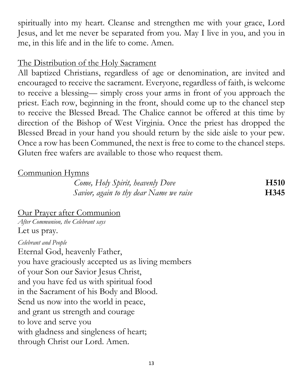spiritually into my heart. Cleanse and strengthen me with your grace, Lord Jesus, and let me never be separated from you. May I live in you, and you in me, in this life and in the life to come. Amen.

### The Distribution of the Holy Sacrament

All baptized Christians, regardless of age or denomination, are invited and encouraged to receive the sacrament. Everyone, regardless of faith, is welcome to receive a blessing— simply cross your arms in front of you approach the priest. Each row, beginning in the front, should come up to the chancel step to receive the Blessed Bread. The Chalice cannot be offered at this time by direction of the Bishop of West Virginia. Once the priest has dropped the Blessed Bread in your hand you should return by the side aisle to your pew. Once a row has been Communed, the next is free to come to the chancel steps. Gluten free wafers are available to those who request them.

### Communion Hymns

| Come, Holy Spirit, heavenly Dove        | <b>H510</b> |
|-----------------------------------------|-------------|
| Savior, again to thy dear Name we raise | H345        |

# Our Prayer after Communion

*After Communion, the Celebrant says* Let us pray.

*Celebrant and People*

Eternal God, heavenly Father, you have graciously accepted us as living members of your Son our Savior Jesus Christ, and you have fed us with spiritual food in the Sacrament of his Body and Blood. Send us now into the world in peace, and grant us strength and courage to love and serve you with gladness and singleness of heart; through Christ our Lord. Amen.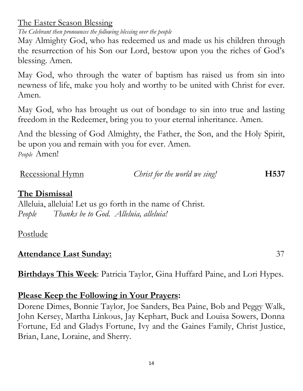#### The Easter Season Blessing

*The Celebrant then pronounces the following blessing over the people*

May Almighty God, who has redeemed us and made us his children through the resurrection of his Son our Lord, bestow upon you the riches of God's blessing. Amen.

May God, who through the water of baptism has raised us from sin into newness of life, make you holy and worthy to be united with Christ for ever. Amen.

May God, who has brought us out of bondage to sin into true and lasting freedom in the Redeemer, bring you to your eternal inheritance. Amen.

And the blessing of God Almighty, the Father, the Son, and the Holy Spirit, be upon you and remain with you for ever. Amen. *People* Amen!

| Recessional Hymn | Christ for the world we sing! | H <sub>537</sub> |
|------------------|-------------------------------|------------------|
|                  |                               |                  |

# **The Dismissal**

Alleluia, alleluia! Let us go forth in the name of Christ. *People Thanks be to God. Alleluia, alleluia!*

# Postlude

# **Attendance Last Sunday:** 37

**Birthdays This Week**: Patricia Taylor, Gina Huffard Paine, and Lori Hypes.

# **Please Keep the Following in Your Prayers:**

Dorene Dimes, Bonnie Taylor, Joe Sanders, Bea Paine, Bob and Peggy Walk, John Kersey, Martha Linkous, Jay Kephart, Buck and Louisa Sowers, Donna Fortune, Ed and Gladys Fortune, Ivy and the Gaines Family, Christ Justice, Brian, Lane, Loraine, and Sherry.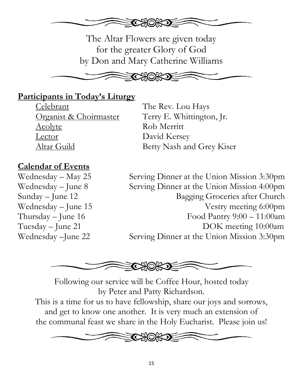

The Altar Flowers are given today for the greater Glory of God by Don and Mary Catherine Williams



### **Participants in Today's Liturgy**

Celebrant The Rev. Lou Hays Acolyte Rob Merritt Lector David Kersey

Organist & Choirmaster Terry E. Whittington, Jr. Altar Guild Betty Nash and Grey Kiser

#### **Calendar of Events**

Wednesday – May 25 Serving Dinner at the Union Mission 3:30pm Wednesday – June 8 Serving Dinner at the Union Mission 4:00pm Sunday – June 12 Bagging Groceries after Church Wednesday – June 15 Vestry meeting 6:00pm  $Thursday - June 16$  Food Pantry  $9:00 - 11:00$ am Tuesday – June 21 DOK meeting 10:00am Wednesday –June 22 Serving Dinner at the Union Mission 3:30pm



Following our service will be Coffee Hour, hosted today by Peter and Patty Richardson. This is a time for us to have fellowship, share our joys and sorrows, and get to know one another. It is very much an extension of the communal feast we share in the Holy Eucharist. Please join us!